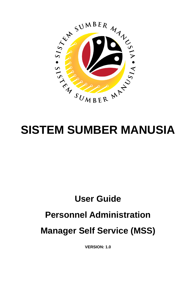

# **User Guide Personnel Administration Manager Self Service (MSS)**

**VERSION: 1.0**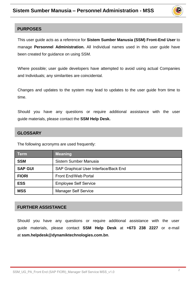

### **PURPOSES**

This user guide acts as a reference for **Sistem Sumber Manusia (SSM) Front-End User** to manage **Personnel Administration.** All Individual names used in this user guide have been created for guidance on using SSM.

Where possible; user guide developers have attempted to avoid using actual Companies and Individuals; any similarities are coincidental.

Changes and updates to the system may lead to updates to the user guide from time to time.

Should you have any questions or require additional assistance with the user guide materials, please contact the **SSM Help Desk.**

### **GLOSSARY**

The following acronyms are used frequently:

| <b>Term</b>    | <b>Meaning</b>                        |
|----------------|---------------------------------------|
| <b>SSM</b>     | Sistem Sumber Manusia                 |
| <b>SAP GUI</b> | SAP Graphical User Interface/Back End |
| <b>FIORI</b>   | <b>Front End/Web Portal</b>           |
| <b>ESS</b>     | <b>Employee Self Service</b>          |
| <b>MSS</b>     | <b>Manager Self Service</b>           |

#### **FURTHER ASSISTANCE**

Should you have any questions or require additional assistance with the user guide materials, please contact **SSM Help Desk** at **+673 238 2227** or e-mail at **ssm.helpdesk@dynamiktechnologies.com.bn**.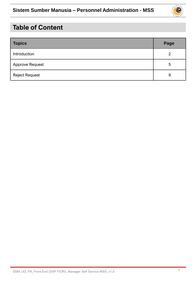

## **Table of Content**

| <b>Topics</b>          | Page |
|------------------------|------|
| Introduction           | 2    |
| <b>Approve Request</b> | 5    |
| <b>Reject Request</b>  | 9    |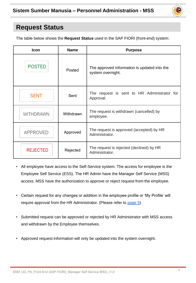

### **Request Status**

The table below shows the **Request Status** used in the SAP FIORI (front-end) system:

| Icon                                                                                      | <b>Name</b> | <b>Purpose</b>                                                    |  |  |
|-------------------------------------------------------------------------------------------|-------------|-------------------------------------------------------------------|--|--|
| <b>POSTED</b>                                                                             | Posted      | The approved information is updated into the<br>system overnight. |  |  |
| The request is sent to HR Administrator for<br><b>SENT</b><br>Sent<br>Approval.           |             |                                                                   |  |  |
| The request is withdrawn (cancelled) by<br><b>WITHDRAWN</b><br>Withdrawn<br>employee.     |             |                                                                   |  |  |
| The request is approved (accepted) by HR<br><b>APPROVED</b><br>Approved<br>Administrator. |             |                                                                   |  |  |
| The request is rejected (declined) by HR<br><b>REJECTED</b><br>Rejected<br>Administrator. |             |                                                                   |  |  |

- All employee have access to the Self-Service system. The access for employee is the Employee Self Service (ESS). The HR Admin have the Manager Self Service (MSS) access. MSS have the authorization to approve or reject request from the employee.
- Certain request for any changes or addition in the employee profile or 'My Profile' will require approval from the HR Administrator. (Please refer to [page 5\)](#page-4-0)
- Submitted request can be approved or rejected by HR Administrator with MSS access and withdrawn by the Employee themselves.
- Approved request information will only be updated into the system overnight.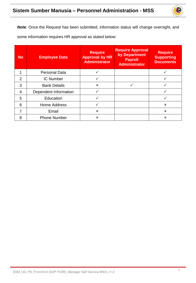

<span id="page-4-0"></span>*Note*: Once the Request has been submitted, information status will change overnight, and some information requires HR approval as stated below:

| <b>No</b> | <b>Employee Data</b>  | <b>Require</b><br><b>Approval by HR</b><br><b>Administrator</b> | <b>Require Approval</b><br>by Department<br><b>Payroll</b><br><b>Administrator</b> | <b>Require</b><br><b>Supporting</b><br><b>Documents</b> |
|-----------|-----------------------|-----------------------------------------------------------------|------------------------------------------------------------------------------------|---------------------------------------------------------|
|           | <b>Personal Data</b>  |                                                                 |                                                                                    |                                                         |
| 2         | <b>IC Number</b>      |                                                                 |                                                                                    |                                                         |
| 3         | <b>Bank Details</b>   | $\mathbf x$                                                     |                                                                                    |                                                         |
| 4         | Dependent Information |                                                                 |                                                                                    |                                                         |
| 5         | Education             |                                                                 |                                                                                    |                                                         |
| 6         | <b>Home Address</b>   |                                                                 |                                                                                    | x                                                       |
| 7         | Email                 | $\mathbf x$                                                     |                                                                                    | $\mathbf x$                                             |
| 8         | <b>Phone Number</b>   | $\mathbf x$                                                     |                                                                                    | $\mathbf x$                                             |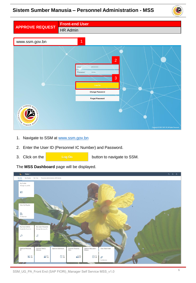### **Sistem Sumber Manusia – Personnel Administration - MSS**



|                        | <b>Front-end User</b>                                                                                                                                                   |
|------------------------|-------------------------------------------------------------------------------------------------------------------------------------------------------------------------|
| <b>APPROVE REQUEST</b> | HR Admin                                                                                                                                                                |
|                        |                                                                                                                                                                         |
| www.ssm.gov.bn         | $\mathbf 1$                                                                                                                                                             |
| SUMBER MANS            | $\overline{2}$<br>01<br>User<br>Password<br>,,,,,,,,<br>3<br>Log On<br><b>Change Password</b><br><b>Forget Password</b><br>Copyright @ 2021 SAP SE All Rights Reserved. |

- 1. Navigate to SSM at [www.ssm.gov.bn](http://www.ssm.com.bn/)
- 2. Enter the User ID (Personnel IC Number) and Password.
- 3. Click on the button to navigate to SSM.

The **MSS Dashboard** page will be displayed.

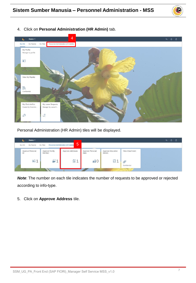



4. Click on **Personal Administration (HR Admin)** tab.

Personal Administration (HR Admin) tiles will be displayed.

| Home $\blacktriangledown$<br>ъ         |                          |                                          |                          |                                                  |                 |     | $\alpha$ | Ω | - 8 |
|----------------------------------------|--------------------------|------------------------------------------|--------------------------|--------------------------------------------------|-----------------|-----|----------|---|-----|
| My Payslip<br>My Info                  | My Time                  | 5<br>Personnel Administration (HR Admin) |                          |                                                  |                 |     |          |   |     |
| Approve Personal<br>ID                 | Approve Family<br>Member | Approve Addresses                        | Approve Personal<br>Data | Approve Education<br>Details                     | View Attachment |     |          |   |     |
| $\overline{\texttt{a}}^{\pm}_{\equiv}$ | 21                       | É                                        | 20                       | $\begin{bmatrix} a \\ c \\ 0 \end{bmatrix}$<br>л | Ø               | . . |          |   |     |
|                                        |                          |                                          |                          |                                                  | Confidential    |     |          |   |     |

*Note*: The number on each tile indicates the number of requests to be approved or rejected according to info-type.

5. Click on **Approve Address** tile.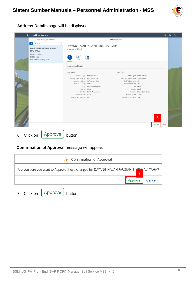

**Address Details** page will be displayed.

|    | <b>Co</b> | Address Approval v                               |                                       |                                      |                                                    |                            |                   | $Q Q Q B$ |  |
|----|-----------|--------------------------------------------------|---------------------------------------|--------------------------------------|----------------------------------------------------|----------------------------|-------------------|-----------|--|
|    |           | List of Req. to Process                          |                                       |                                      | Address Details                                    |                            |                   |           |  |
|    |           | $\mathsf Q$<br>$\overline{\mathbf{Y}}$<br>Search |                                       | DAYANG HAJAH FAUZIAH BINTI HAJI TAHA |                                                    |                            |                   |           |  |
|    |           | DAYANG HAJAH FAUZIAH BINTI<br><b>HAJI TAHA</b>   | IC Number: 01123149                   |                                      |                                                    |                            |                   |           |  |
|    |           | IC Num: 01123149                                 |                                       |                                      |                                                    |                            |                   |           |  |
|    |           | P000000611                                       | Ø                                     | 目                                    |                                                    |                            |                   |           |  |
|    |           | Request Date: 11 May 2021                        |                                       |                                      |                                                    |                            |                   |           |  |
|    |           |                                                  | <b>Information Details</b>            |                                      |                                                    |                            |                   |           |  |
|    |           |                                                  | New Value                             |                                      | Old Value                                          |                            |                   |           |  |
|    |           |                                                  |                                       | Address Type: Home Address           |                                                    | Address Type: Home Address |                   |           |  |
|    |           |                                                  | Street and House Num: No 7, Spg 32-37 |                                      | Street and House Num: Jalan Mawar                  |                            |                   |           |  |
|    |           |                                                  | Postal Code / City: BB3713            | 2nd Address Line: Kg Anggerek Desa   | 2nd Address Line: 39<br>Postal Code / City: AB1225 |                            |                   |           |  |
|    |           |                                                  |                                       | City: Bandar Seri Begawan            |                                                    | City: Belait               |                   |           |  |
|    |           |                                                  | District: Belait                      |                                      | District: Belait                                   |                            |                   |           |  |
|    |           |                                                  |                                       | Country: Brunei Darussalam           |                                                    | Country: Brunei Darussalam |                   |           |  |
|    |           |                                                  | Distance in Km: 0.000                 |                                      | Distance in Km: 23.000                             |                            |                   |           |  |
|    |           |                                                  | Government housing: No                |                                      | Government housing: Yes                            |                            |                   |           |  |
|    |           |                                                  |                                       |                                      |                                                    |                            |                   |           |  |
|    |           |                                                  |                                       |                                      |                                                    |                            |                   |           |  |
|    |           |                                                  |                                       |                                      |                                                    |                            |                   |           |  |
|    |           |                                                  |                                       |                                      |                                                    |                            |                   |           |  |
|    |           |                                                  |                                       |                                      |                                                    |                            |                   |           |  |
|    |           |                                                  |                                       |                                      |                                                    |                            | $6\overline{6}$   |           |  |
|    |           |                                                  |                                       |                                      |                                                    |                            |                   |           |  |
|    |           |                                                  |                                       |                                      |                                                    |                            | Approve<br>Reject |           |  |
|    |           |                                                  |                                       |                                      |                                                    |                            |                   |           |  |
|    |           |                                                  |                                       |                                      |                                                    |                            |                   |           |  |
| 6. |           | Approve<br>Click on                              | button.                               |                                      |                                                    |                            |                   |           |  |

### **Confirmation of Approval** message will appear.

| Confirmation of Approval                                                                     |
|----------------------------------------------------------------------------------------------|
| Are you sure you want to Approve these changes for DAYANG HAJAH FAUZIAH BINTLUAJI TAHA?<br>⇁ |
| Cancel                                                                                       |
|                                                                                              |

7. Click on  $\left[$  Approve  $\right]$  button.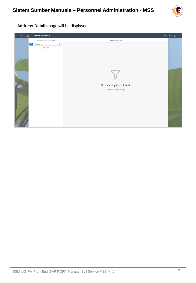

**Address Details** page will be displayed.

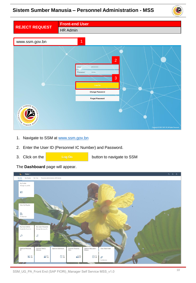### **Sistem Sumber Manusia – Personnel Administration - MSS**



|                       | <b>Front-end User</b>                                                                                                                                          |
|-----------------------|----------------------------------------------------------------------------------------------------------------------------------------------------------------|
| <b>REJECT REQUEST</b> | HR Admin                                                                                                                                                       |
|                       |                                                                                                                                                                |
| www.ssm.gov.bn        | $\overline{1}$                                                                                                                                                 |
| SEA SUMBER MANAGEMENT | $\overline{2}$<br>01<br>User<br>Password<br><br>3<br>Log On<br><b>Change Password</b><br><b>Forget Password</b><br>Copyright @ 2021 SAP SE All Rights Reserved |

- 1. Navigate to SSM at [www.ssm.gov.bn](http://www.ssm.com.bn/)
- 2. Enter the User ID (Personnel IC Number) and Password.
- 

3. Click on the **button** to navigate to SSM

Home  $\star$  $Q$   $Q$   $B$  $\epsilon$ My Info My My Profile ade my profili  $\mathbf{R}^{\pm}$ View My Payslip \$<sub>8</sub> My Clock In/Out<br>Create My Clock In My Leave Requests<br>Manage My Leave R...  $\Omega$  $\ddot{\alpha}$ Approve Famil<br>Member Approve E<br>Details  $\Xi$ <sup>1</sup>  $231$  $\stackrel{f''}{=} 1$  $280$  $\left[\begin{smallmatrix} a & b \\ c & d \end{smallmatrix}\right]$  1

The **Dashboard** page will appear.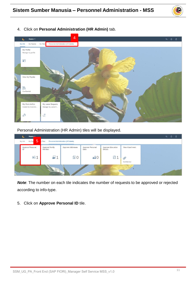



4. Click on **Personal Administration (HR Admin)** tab.

Personal Administration (HR Admin) tiles will be displayed.



*Note*: The number on each tile indicates the number of requests to be approved or rejected according to info-type.

5. Click on **Approve Personal ID** tile.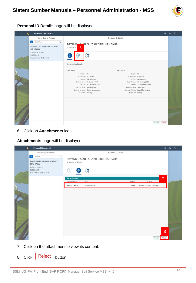

**Personal ID Details** page will be displayed.

| <b>Co</b> | Personal ID Approval v                                                                     |                                                            |                                     |                           |                                     |                   | $Q Q Q B$ |  |
|-----------|--------------------------------------------------------------------------------------------|------------------------------------------------------------|-------------------------------------|---------------------------|-------------------------------------|-------------------|-----------|--|
|           | List of Req. to Process                                                                    |                                                            |                                     | Personal ID Details       |                                     |                   |           |  |
|           | $\triangledown$<br>$\mathsf Q$<br>Search<br>DAYANG HAJAH FAUZIAH BINTI<br><b>HAJI TAHA</b> | DAYANG HATAH FAUZIAH BINTI HAJI TAHA<br>IC Number: 01<br>6 |                                     |                           |                                     |                   |           |  |
|           | IC Num: 01123149<br>P000000612<br>Request Date: 11 May 2021                                | j.                                                         | $\blacksquare$                      |                           |                                     |                   |           |  |
|           |                                                                                            | <b>Information Details</b>                                 |                                     |                           |                                     |                   |           |  |
|           |                                                                                            | New Value                                                  |                                     | Old Value                 |                                     |                   |           |  |
|           |                                                                                            | ID Type: IC                                                |                                     | ID Type: IC               |                                     |                   |           |  |
|           |                                                                                            | ID Number: 01123149                                        |                                     | ID Number: 01123149       |                                     |                   |           |  |
|           |                                                                                            |                                                            | Author: Administrator               |                           | Author: Administrator               |                   |           |  |
|           |                                                                                            |                                                            | Date of Issue: 01 January 2020      |                           | Date of Issue: 01 January 2020      |                   |           |  |
|           |                                                                                            |                                                            | Valid to: 31 December 2031          |                           | Valid to: 31 December 10000         |                   |           |  |
|           |                                                                                            | Place of Issue: Brunei-Muara                               |                                     | Place of Issue: Temburong |                                     |                   |           |  |
|           |                                                                                            | IC Colour: Kuning                                          | Country of Issue: Brunei Darussalam | IC Colour: Kuning         | Country of Issue: Brunei Darussalam |                   |           |  |
|           |                                                                                            |                                                            |                                     |                           |                                     |                   |           |  |
|           |                                                                                            |                                                            |                                     |                           |                                     |                   |           |  |
|           |                                                                                            |                                                            |                                     |                           |                                     |                   |           |  |
|           |                                                                                            |                                                            |                                     |                           |                                     |                   |           |  |
|           |                                                                                            |                                                            |                                     |                           |                                     |                   |           |  |
|           |                                                                                            |                                                            |                                     |                           |                                     |                   |           |  |
|           |                                                                                            |                                                            |                                     |                           |                                     |                   |           |  |
|           |                                                                                            |                                                            |                                     |                           |                                     |                   |           |  |
|           |                                                                                            |                                                            |                                     |                           |                                     |                   |           |  |
|           |                                                                                            |                                                            |                                     |                           |                                     | Reject<br>Approve |           |  |

6. Click on **Attachments** icon.

**Attachments** page will be displayed.

| $\bullet$<br>ı | Personal ID Approval v                                                               |                                                                             |                | $Q Q Q B$ |  |
|----------------|--------------------------------------------------------------------------------------|-----------------------------------------------------------------------------|----------------|-----------|--|
|                | List of Req. to Process                                                              | Personal ID Details                                                         |                |           |  |
|                | $\Delta$<br>Search<br>$\mathbf{Q}$<br>DAYANG HAJAH FAUZIAH BINTI<br><b>HAJI TAHA</b> | DAYANG HAJAH FAUZIAH BINTI HAJI TAHA<br>IC Number: 01123149                 |                |           |  |
|                | IC Num: 01123149<br>P000000612<br>Request Date: 11 May 2021                          | $\left( \blacksquare \right)$<br>$\mathbf{i}$                               |                |           |  |
|                |                                                                                      | <b>Tap to Download</b><br>File Size<br>Type<br>File Name<br>Document Type   | $\overline{7}$ |           |  |
|                |                                                                                      | Identity Card (IC)<br>application/pdf<br>42 KB<br>P000000612_001_110328.pdf |                |           |  |
|                |                                                                                      |                                                                             | 8              |           |  |
|                |                                                                                      | Approve                                                                     | Reject         |           |  |

- 7. Click on the attachment to view its content.
- 8. Click Reject button.